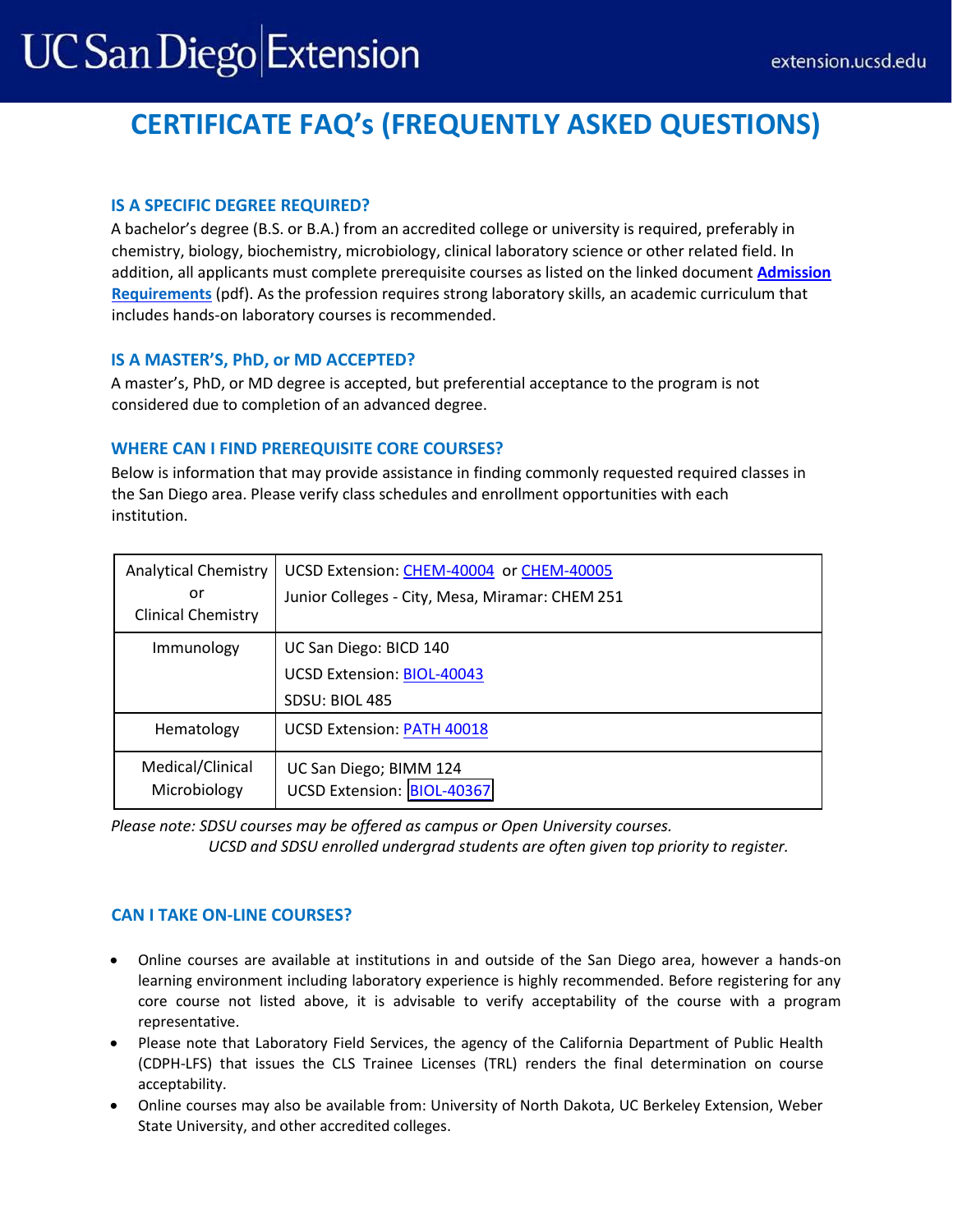# **UC San Diego Extension**

# **CERTIFICATE FAQ's (FREQUENTLY ASKED QUESTIONS)**

## **IS A SPECIFIC DEGREE REQUIRED?**

A bachelor's degree (B.S. or B.A.) from an accredited college or university is required, preferably in chemistry, biology, biochemistry, microbiology, clinical laboratory science or other related field. In addition, all applicants must complete prerequisite courses as listed on the linked document **[Admission](https://extension.ucsd.edu/getattachment/Programs/Clinical-Laboratory-Scientist-Training/3-IMPORTANT-Admission-Requirements-(004).pdf.aspx) [Requirements](https://extension.ucsd.edu/getattachment/Programs/Clinical-Laboratory-Scientist-Training/3-IMPORTANT-Admission-Requirements-(004).pdf.aspx)** (pdf). As the profession requires strong laboratory skills, an academic curriculum that includes hands-on laboratory courses is recommended.

### **IS A MASTER'S, PhD, or MD ACCEPTED?**

A master's, PhD, or MD degree is accepted, but preferential acceptance to the program is not considered due to completion of an advanced degree.

# **WHERE CAN I FIND PREREQUISITE CORE COURSES?**

Below is information that may provide assistance in finding commonly requested required classes in the San Diego area. Please verify class schedules and enrollment opportunities with each institution.

| <b>Analytical Chemistry</b><br>or<br><b>Clinical Chemistry</b> | UCSD Extension: CHEM-40004 or CHEM-40005<br>Junior Colleges - City, Mesa, Miramar: CHEM 251 |
|----------------------------------------------------------------|---------------------------------------------------------------------------------------------|
| Immunology                                                     | UC San Diego: BICD 140<br>UCSD Extension: BIOL-40043<br>SDSU: BIOL 485                      |
| Hematology                                                     | <b>UCSD Extension: PATH 40018</b>                                                           |
| Medical/Clinical<br>Microbiology                               | UC San Diego; BIMM 124<br>UCSD Extension: BIOL-40367                                        |

*Please note: SDSU courses may be offered as campus or Open University courses.* 

UCSD and SDSU enrolled undergrad students are often given top priority to register.

# **CAN I TAKE ON-LINE COURSES?**

- Online courses are available at institutions in and outside of the San Diego area, however a hands-on learning environment including laboratory experience is highly recommended. Before registering for any core course not listed above, it is advisable to verify acceptability of the course with a program representative.
- Please note that Laboratory Field Services, the agency of the California Department of Public Health (CDPH-LFS) that issues the CLS Trainee Licenses (TRL) renders the final determination on course acceptability.
- Online courses may also be available from: University of North Dakota, UC Berkeley Extension, Weber State University, and other accredited colleges.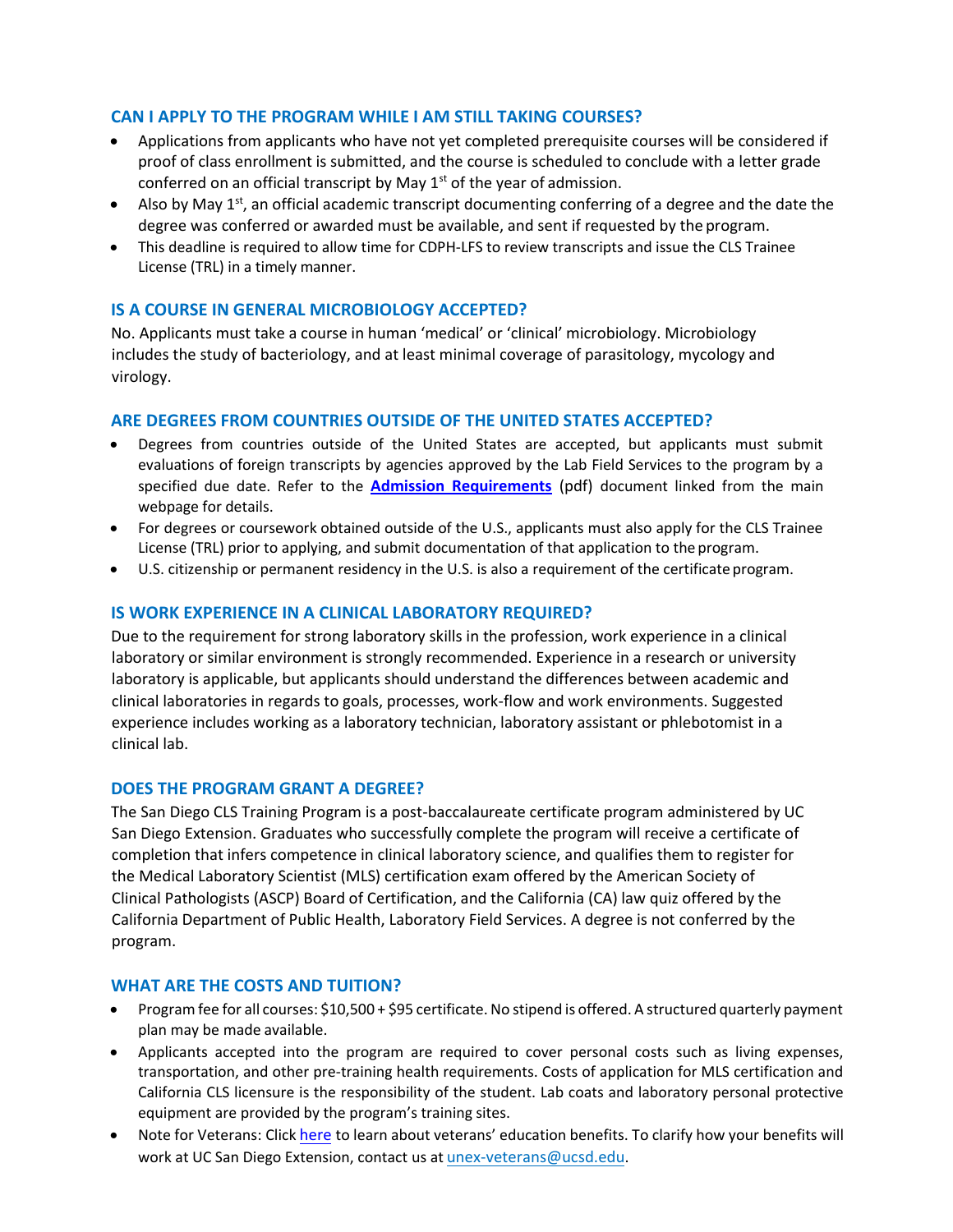#### **CAN I APPLY TO THE PROGRAM WHILE I AM STILL TAKING COURSES?**

- Applications from applicants who have not yet completed prerequisite courses will be considered if proof of class enrollment is submitted, and the course is scheduled to conclude with a letter grade conferred on an official transcript by May  $1<sup>st</sup>$  of the year of admission.
- Also by May  $1<sup>st</sup>$ , an official academic transcript documenting conferring of a degree and the date the degree was conferred or awarded must be available, and sent if requested by the program.
- This deadline is required to allow time for CDPH-LFS to review transcripts and issue the CLS Trainee License (TRL) in a timely manner.

#### **IS A COURSE IN GENERAL MICROBIOLOGY ACCEPTED?**

No. Applicants must take a course in human 'medical' or 'clinical' microbiology. Microbiology includes the study of bacteriology, and at least minimal coverage of parasitology, mycology and virology.

#### **ARE DEGREES FROM COUNTRIES OUTSIDE OF THE UNITED STATES ACCEPTED?**

- Degrees from countries outside of the United States are accepted, but applicants must submit evaluations of foreign transcripts by agencies approved by the Lab Field Services to the program by a specified due date. Refer to the **[Admission Requirements](https://extension.ucsd.edu/getattachment/Programs/Clinical-Laboratory-Scientist-Training/3-IMPORTANT-Admission-Requirements-(004).pdf.aspx)** (pdf) document linked from the main webpage for details.
- For degrees or coursework obtained outside of the U.S., applicants must also apply for the CLS Trainee License (TRL) prior to applying, and submit documentation of that application to the program.
- U.S. citizenship or permanent residency in the U.S. is also a requirement of the certificate program.

#### **IS WORK EXPERIENCE IN A CLINICAL LABORATORY REQUIRED?**

Due to the requirement for strong laboratory skills in the profession, work experience in a clinical laboratory or similar environment is strongly recommended. Experience in a research or university laboratory is applicable, but applicants should understand the differences between academic and clinical laboratories in regards to goals, processes, work-flow and work environments. Suggested experience includes working as a laboratory technician, laboratory assistant or phlebotomist in a clinical lab.

#### **DOES THE PROGRAM GRANT A DEGREE?**

The San Diego CLS Training Program is a post-baccalaureate certificate program administered by UC San Diego Extension. Graduates who successfully complete the program will receive a certificate of completion that infers competence in clinical laboratory science, and qualifies them to register for the Medical Laboratory Scientist (MLS) certification exam offered by the American Society of Clinical Pathologists (ASCP) Board of Certification, and the California (CA) law quiz offered by the California Department of Public Health, Laboratory Field Services. A degree is not conferred by the program.

#### **WHAT ARE THE COSTS AND TUITION?**

- Program fee for all courses: \$10,500 + \$95 certificate. No stipend is offered. A structured quarterly payment plan may be made available.
- Applicants accepted into the program are required to cover personal costs such as living expenses, transportation, and other pre-training health requirements. Costs of application for MLS certification and California CLS licensure is the responsibility of the student. Lab coats and laboratory personal protective equipment are provided by the program's training sites.
- Note for Veterans: Click [here](https://extension.ucsd.edu/student-resources/financial-resources/veterans-education-benefits) to learn about veterans' education benefits. To clarify how your benefits will work at UC San Diego Extension, contact us at [unex-veterans@ucsd.edu](mailto:unex-veterans@ucsd.edu).